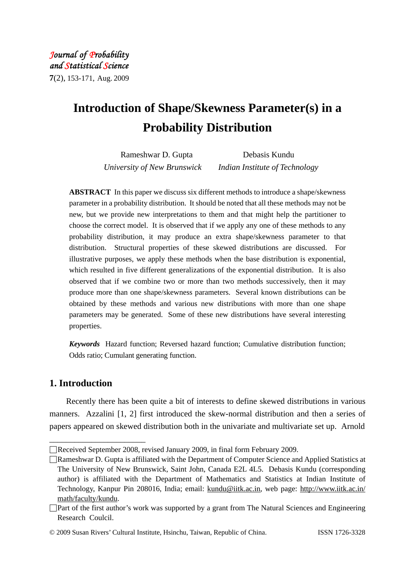*Journal of Probability and Statistical Science* **7**(2), 153-171, Aug. 2009

# **Introduction of Shape/Skewness Parameter(s) in a Probability Distribution**

Rameshwar D. Gupta Debasis Kundu *University of New Brunswick Indian Institute of Technology* 

**ABSTRACT** In this paper we discuss six different methods to introduce a shape/skewness parameter in a probability distribution. It should be noted that all these methods may not be new, but we provide new interpretations to them and that might help the partitioner to choose the correct model. It is observed that if we apply any one of these methods to any probability distribution, it may produce an extra shape/skewness parameter to that distribution. Structural properties of these skewed distributions are discussed. For illustrative purposes, we apply these methods when the base distribution is exponential, which resulted in five different generalizations of the exponential distribution. It is also observed that if we combine two or more than two methods successively, then it may produce more than one shape/skewness parameters. Several known distributions can be obtained by these methods and various new distributions with more than one shape parameters may be generated. Some of these new distributions have several interesting properties.

*Keywords* Hazard function; Reversed hazard function; Cumulative distribution function; Odds ratio; Cumulant generating function.

# **1. Introduction**

\_\_\_\_\_\_\_\_\_\_\_\_\_\_\_\_\_\_\_\_\_\_\_

Recently there has been quite a bit of interests to define skewed distributions in various manners. Azzalini [1, 2] first introduced the skew-normal distribution and then a series of papers appeared on skewed distribution both in the univariate and multivariate set up. Arnold

<sup>□</sup>Received September 2008, revised January 2009, in final form February 2009.

<sup>□</sup>Rameshwar D. Gupta is affiliated with the Department of Computer Science and Applied Statistics at The University of New Brunswick, Saint John, Canada E2L 4L5. Debasis Kundu (corresponding author) is affiliated with the Department of Mathematics and Statistics at Indian Institute of Technology, Kanpur Pin 208016, India; email: kundu@iitk.ac.in, web page: http://www.iitk.ac.in/ math/faculty/kundu.

<sup>□</sup>Part of the first author's work was supported by a grant from The Natural Sciences and Engineering Research Coulcil.

<sup>©</sup> 2009 Susan Rivers' Cultural Institute, Hsinchu, Taiwan, Republic of China. ISSN 1726-3328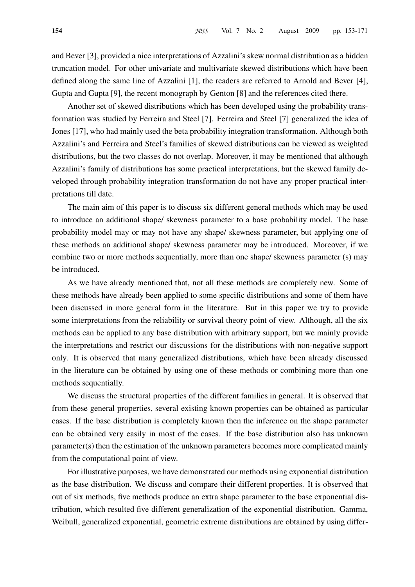and Bever [3], provided a nice interpretations of Azzalini's skew normal distribution as a hidden truncation model. For other univariate and multivariate skewed distributions which have been defined along the same line of Azzalini [1], the readers are referred to Arnold and Bever [4], Gupta and Gupta [9], the recent monograph by Genton [8] and the references cited there.

Another set of skewed distributions which has been developed using the probability transformation was studied by Ferreira and Steel [7]. Ferreira and Steel [7] generalized the idea of Jones [17], who had mainly used the beta probability integration transformation. Although both Azzalini's and Ferreira and Steel's families of skewed distributions can be viewed as weighted distributions, but the two classes do not overlap. Moreover, it may be mentioned that although Azzalini's family of distributions has some practical interpretations, but the skewed family developed through probability integration transformation do not have any proper practical interpretations till date.

The main aim of this paper is to discuss six different general methods which may be used to introduce an additional shape/ skewness parameter to a base probability model. The base probability model may or may not have any shape/ skewness parameter, but applying one of these methods an additional shape/ skewness parameter may be introduced. Moreover, if we combine two or more methods sequentially, more than one shape/ skewness parameter (s) may be introduced.

As we have already mentioned that, not all these methods are completely new. Some of these methods have already been applied to some specific distributions and some of them have been discussed in more general form in the literature. But in this paper we try to provide some interpretations from the reliability or survival theory point of view. Although, all the six methods can be applied to any base distribution with arbitrary support, but we mainly provide the interpretations and restrict our discussions for the distributions with non-negative support only. It is observed that many generalized distributions, which have been already discussed in the literature can be obtained by using one of these methods or combining more than one methods sequentially.

We discuss the structural properties of the different families in general. It is observed that from these general properties, several existing known properties can be obtained as particular cases. If the base distribution is completely known then the inference on the shape parameter can be obtained very easily in most of the cases. If the base distribution also has unknown parameter(s) then the estimation of the unknown parameters becomes more complicated mainly from the computational point of view.

For illustrative purposes, we have demonstrated our methods using exponential distribution as the base distribution. We discuss and compare their different properties. It is observed that out of six methods, five methods produce an extra shape parameter to the base exponential distribution, which resulted five different generalization of the exponential distribution. Gamma, Weibull, generalized exponential, geometric extreme distributions are obtained by using differ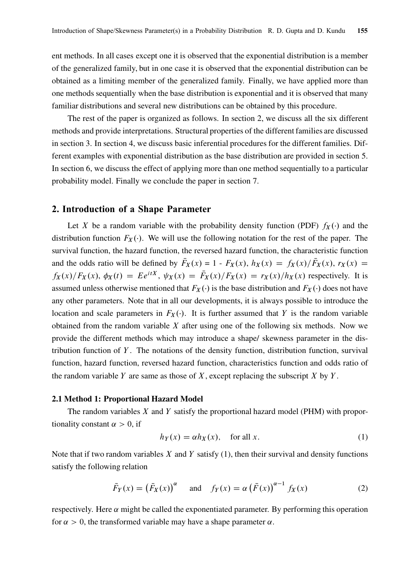ent methods. In all cases except one it is observed that the exponential distribution is a member of the generalized family, but in one case it is observed that the exponential distribution can be obtained as a limiting member of the generalized family. Finally, we have applied more than one methods sequentially when the base distribution is exponential and it is observed that many familiar distributions and several new distributions can be obtained by this procedure.

The rest of the paper is organized as follows. In section 2, we discuss all the six different methods and provide interpretations. Structural properties of the different families are discussed in section 3. In section 4, we discuss basic inferential procedures for the different families. Different examples with exponential distribution as the base distribution are provided in section 5. In section 6, we discuss the effect of applying more than one method sequentially to a particular probability model. Finally we conclude the paper in section 7.

# 2. Introduction of a Shape Parameter

Let X be a random variable with the probability density function (PDF)  $f_X(\cdot)$  and the distribution function  $F_X(\cdot)$ . We will use the following notation for the rest of the paper. The survival function, the hazard function, the reversed hazard function, the characteristic function and the odds ratio will be defined by  $\bar{F}_X(x) = 1 - F_X(x)$ ,  $h_X(x) = f_X(x)/\bar{F}_X(x)$ ,  $r_X(x) =$  $f_X(x)/F_X(x)$ ,  $\phi_X(t) = Ee^{itX}$ ,  $\psi_X(x) = \overline{F}_X(x)/F_X(x) = r_X(x)/h_X(x)$  respectively. It is assumed unless otherwise mentioned that  $F_X(\cdot)$  is the base distribution and  $F_X(\cdot)$  does not have any other parameters. Note that in all our developments, it is always possible to introduce the location and scale parameters in  $F_X(\cdot)$ . It is further assumed that Y is the random variable obtained from the random variable  $X$  after using one of the following six methods. Now we provide the different methods which may introduce a shape/ skewness parameter in the distribution function of  $Y$ . The notations of the density function, distribution function, survival function, hazard function, reversed hazard function, characteristics function and odds ratio of the random variable Y are same as those of X, except replacing the subscript X by Y.

#### 2.1 Method 1: Proportional Hazard Model

The random variables  $X$  and  $Y$  satisfy the proportional hazard model (PHM) with proportionality constant  $\alpha > 0$ , if

$$
h_Y(x) = \alpha h_X(x), \quad \text{for all } x. \tag{1}
$$

Note that if two random variables  $X$  and  $Y$  satisfy (1), then their survival and density functions satisfy the following relation

$$
\bar{F}_Y(x) = (\bar{F}_X(x))^\alpha \quad \text{and} \quad f_Y(x) = \alpha (\bar{F}(x))^{\alpha - 1} f_X(x) \tag{2}
$$

respectively. Here  $\alpha$  might be called the exponentiated parameter. By performing this operation for  $\alpha > 0$ , the transformed variable may have a shape parameter  $\alpha$ .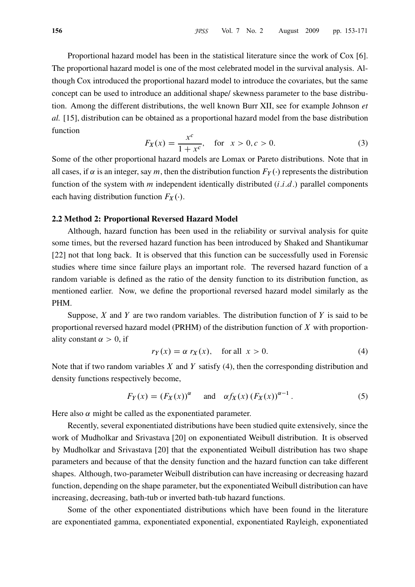Proportional hazard model has been in the statistical literature since the work of Cox [6]. The proportional hazard model is one of the most celebrated model in the survival analysis. Although Cox introduced the proportional hazard model to introduce the covariates, but the same concept can be used to introduce an additional shape/ skewness parameter to the base distribution. Among the different distributions, the well known Burr XII, see for example Johnson et al. [15], distribution can be obtained as a proportional hazard model from the base distribution function

$$
F_X(x) = \frac{x^c}{1 + x^c}, \quad \text{for } x > 0, c > 0.
$$
 (3)

Some of the other proportional hazard models are Lomax or Pareto distributions. Note that in all cases, if  $\alpha$  is an integer, say m, then the distribution function  $F_Y(\cdot)$  represents the distribution function of the system with  $m$  independent identically distributed  $(i.i.d.)$  parallel components each having distribution function  $F_X(\cdot)$ .

# 2.2 Method 2: Proportional Reversed Hazard Model

Although, hazard function has been used in the reliability or survival analysis for quite some times, but the reversed hazard function has been introduced by Shaked and Shantikumar [22] not that long back. It is observed that this function can be successfully used in Forensic studies where time since failure plays an important role. The reversed hazard function of a random variable is defined as the ratio of the density function to its distribution function, as mentioned earlier. Now, we define the proportional reversed hazard model similarly as the PHM.

Suppose,  $X$  and  $Y$  are two random variables. The distribution function of  $Y$  is said to be proportional reversed hazard model (PRHM) of the distribution function of  $X$  with proportionality constant  $\alpha > 0$ , if

$$
r_Y(x) = \alpha r_X(x), \quad \text{for all } x > 0. \tag{4}
$$

Note that if two random variables  $X$  and  $Y$  satisfy (4), then the corresponding distribution and density functions respectively become,

$$
F_Y(x) = (F_X(x))^{\alpha} \quad \text{and} \quad \alpha f_X(x) (F_X(x))^{\alpha - 1}.
$$
 (5)

Here also  $\alpha$  might be called as the exponentiated parameter.

Recently, several exponentiated distributions have been studied quite extensively, since the work of Mudholkar and Srivastava [20] on exponentiated Weibull distribution. It is observed by Mudholkar and Srivastava [20] that the exponentiated Weibull distribution has two shape parameters and because of that the density function and the hazard function can take different shapes. Although, two-parameter Weibull distribution can have increasing or decreasing hazard function, depending on the shape parameter, but the exponentiated Weibull distribution can have increasing, decreasing, bath-tub or inverted bath-tub hazard functions.

Some of the other exponentiated distributions which have been found in the literature are exponentiated gamma, exponentiated exponential, exponentiated Rayleigh, exponentiated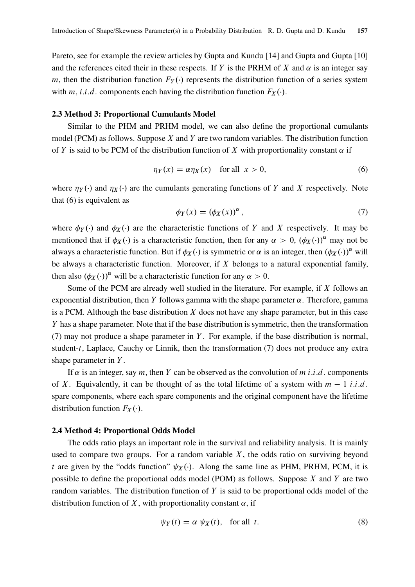Pareto, see for example the review articles by Gupta and Kundu [14] and Gupta and Gupta [10] and the references cited their in these respects. If Y is the PRHM of X and  $\alpha$  is an integer say m, then the distribution function  $F_Y(\cdot)$  represents the distribution function of a series system with m, *i.i.d.* components each having the distribution function  $F_X(\cdot)$ .

## 2.3 Method 3: Proportional Cumulants Model

Similar to the PHM and PRHM model, we can also define the proportional cumulants model (PCM) as follows. Suppose  $X$  and  $Y$  are two random variables. The distribution function of Y is said to be PCM of the distribution function of X with proportionality constant  $\alpha$  if

$$
\eta_Y(x) = \alpha \eta_X(x) \quad \text{for all} \ \ x > 0,\tag{6}
$$

where  $\eta_Y(\cdot)$  and  $\eta_X(\cdot)$  are the cumulants generating functions of Y and X respectively. Note that (6) is equivalent as

$$
\phi_Y(x) = (\phi_X(x))^\alpha \,,\tag{7}
$$

where  $\phi_Y(\cdot)$  and  $\phi_X(\cdot)$  are the characteristic functions of Y and X respectively. It may be mentioned that if  $\phi_X(\cdot)$  is a characteristic function, then for any  $\alpha > 0$ ,  $(\phi_X(\cdot))^{\alpha}$  may not be always a characteristic function. But if  $\phi_X(\cdot)$  is symmetric or  $\alpha$  is an integer, then  $(\phi_X(\cdot))^{\alpha}$  will be always a characteristic function. Moreover, if  $X$  belongs to a natural exponential family, then also  $(\phi_X(\cdot))^{\alpha}$  will be a characteristic function for any  $\alpha > 0$ .

Some of the PCM are already well studied in the literature. For example, if  $X$  follows an exponential distribution, then Y follows gamma with the shape parameter  $\alpha$ . Therefore, gamma is a PCM. Although the base distribution  $X$  does not have any shape parameter, but in this case Y has a shape parameter. Note that if the base distribution is symmetric, then the transformation (7) may not produce a shape parameter in  $Y$ . For example, if the base distribution is normal, student-t, Laplace, Cauchy or Linnik, then the transformation (7) does not produce any extra shape parameter in  $Y$ .

If  $\alpha$  is an integer, say m, then Y can be observed as the convolution of m i.i.d. components of X. Equivalently, it can be thought of as the total lifetime of a system with  $m - 1$  i.i.d. spare components, where each spare components and the original component have the lifetime distribution function  $F_X(\cdot)$ .

# 2.4 Method 4: Proportional Odds Model

The odds ratio plays an important role in the survival and reliability analysis. It is mainly used to compare two groups. For a random variable  $X$ , the odds ratio on surviving beyond t are given by the "odds function"  $\psi_X(\cdot)$ . Along the same line as PHM, PRHM, PCM, it is possible to define the proportional odds model (POM) as follows. Suppose  $X$  and  $Y$  are two random variables. The distribution function of  $Y$  is said to be proportional odds model of the distribution function of X, with proportionality constant  $\alpha$ , if

$$
\psi_Y(t) = \alpha \psi_X(t), \quad \text{for all } t. \tag{8}
$$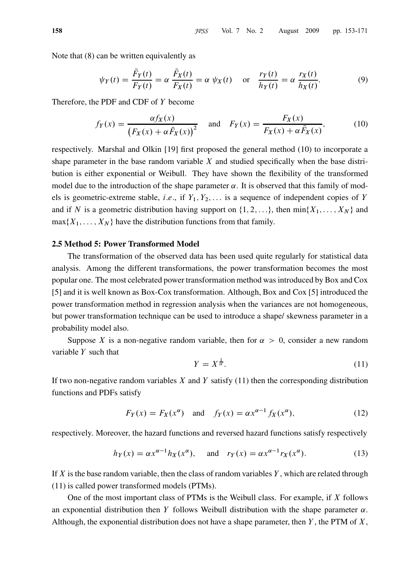Note that (8) can be written equivalently as

$$
\psi_Y(t) = \frac{\bar{F}_Y(t)}{F_Y(t)} = \alpha \frac{\bar{F}_X(t)}{F_X(t)} = \alpha \psi_X(t) \quad \text{or} \quad \frac{r_Y(t)}{h_Y(t)} = \alpha \frac{r_X(t)}{h_X(t)}.
$$
 (9)

Therefore, the PDF and CDF of Y become

$$
f_Y(x) = \frac{\alpha f_X(x)}{\left(F_X(x) + \alpha \bar{F}_X(x)\right)^2} \quad \text{and} \quad F_Y(x) = \frac{F_X(x)}{F_X(x) + \alpha \bar{F}_X(x)},\tag{10}
$$

respectively. Marshal and Olkin [19] first proposed the general method (10) to incorporate a shape parameter in the base random variable  $X$  and studied specifically when the base distribution is either exponential or Weibull. They have shown the flexibility of the transformed model due to the introduction of the shape parameter  $\alpha$ . It is observed that this family of models is geometric-extreme stable, *i.e.*, if  $Y_1, Y_2, \ldots$  is a sequence of independent copies of Y and if N is a geometric distribution having support on  $\{1, 2, \ldots\}$ , then  $\min\{X_1, \ldots, X_N\}$  and  $max{X_1, \ldots, X_N}$  have the distribution functions from that family.

## 2.5 Method 5: Power Transformed Model

The transformation of the observed data has been used quite regularly for statistical data analysis. Among the different transformations, the power transformation becomes the most popular one. The most celebrated power transformation method was introduced by Box and Cox [5] and it is well known as Box-Cox transformation. Although, Box and Cox [5] introduced the power transformation method in regression analysis when the variances are not homogeneous, but power transformation technique can be used to introduce a shape/ skewness parameter in a probability model also.

Suppose X is a non-negative random variable, then for  $\alpha > 0$ , consider a new random variable  $Y$  such that

$$
Y = X^{\frac{1}{\alpha}}.\tag{11}
$$

If two non-negative random variables  $X$  and  $Y$  satisfy (11) then the corresponding distribution functions and PDFs satisfy

$$
F_Y(x) = F_X(x^{\alpha}) \quad \text{and} \quad f_Y(x) = \alpha x^{\alpha - 1} f_X(x^{\alpha}), \tag{12}
$$

respectively. Moreover, the hazard functions and reversed hazard functions satisfy respectively

$$
h_Y(x) = \alpha x^{\alpha - 1} h_X(x^{\alpha}), \quad \text{and} \quad r_Y(x) = \alpha x^{\alpha - 1} r_X(x^{\alpha}). \tag{13}
$$

If  $X$  is the base random variable, then the class of random variables  $Y$ , which are related through (11) is called power transformed models (PTMs).

One of the most important class of PTMs is the Weibull class. For example, if  $X$  follows an exponential distribution then Y follows Weibull distribution with the shape parameter  $\alpha$ . Although, the exponential distribution does not have a shape parameter, then  $Y$ , the PTM of  $X$ ,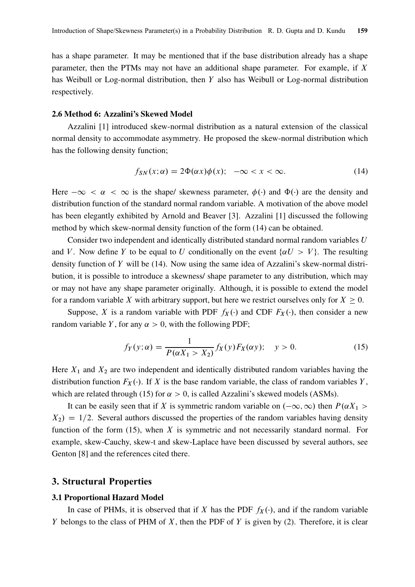has a shape parameter. It may be mentioned that if the base distribution already has a shape parameter, then the PTMs may not have an additional shape parameter. For example, if  $X$ has Weibull or Log-normal distribution, then Y also has Weibull or Log-normal distribution respectively.

## 2.6 Method 6: Azzalini's Skewed Model

Azzalini [1] introduced skew-normal distribution as a natural extension of the classical normal density to accommodate asymmetry. He proposed the skew-normal distribution which has the following density function;

$$
f_{SN}(x; \alpha) = 2\Phi(\alpha x)\phi(x); \quad -\infty < x < \infty. \tag{14}
$$

Here  $-\infty < \alpha < \infty$  is the shape/ skewness parameter,  $\phi(\cdot)$  and  $\Phi(\cdot)$  are the density and distribution function of the standard normal random variable. A motivation of the above model has been elegantly exhibited by Arnold and Beaver [3]. Azzalini [1] discussed the following method by which skew-normal density function of the form (14) can be obtained.

Consider two independent and identically distributed standard normal random variables U and V. Now define Y to be equal to U conditionally on the event  $\{\alpha U > V\}$ . The resulting density function of Y will be (14). Now using the same idea of Azzalini's skew-normal distribution, it is possible to introduce a skewness/ shape parameter to any distribution, which may or may not have any shape parameter originally. Although, it is possible to extend the model for a random variable X with arbitrary support, but here we restrict ourselves only for  $X \geq 0$ .

Suppose, X is a random variable with PDF  $f_X(\cdot)$  and CDF  $F_X(\cdot)$ , then consider a new random variable Y, for any  $\alpha > 0$ , with the following PDF;

$$
f_Y(y; \alpha) = \frac{1}{P(\alpha X_1 > X_2)} f_X(y) F_X(\alpha y); \quad y > 0.
$$
 (15)

Here  $X_1$  and  $X_2$  are two independent and identically distributed random variables having the distribution function  $F_X(\cdot)$ . If X is the base random variable, the class of random variables Y, which are related through (15) for  $\alpha > 0$ , is called Azzalini's skewed models (ASMs).

It can be easily seen that if X is symmetric random variable on  $(-\infty,\infty)$  then  $P(\alpha X_1 >$  $X_2$  = 1/2. Several authors discussed the properties of the random variables having density function of the form  $(15)$ , when X is symmetric and not necessarily standard normal. For example, skew-Cauchy, skew-t and skew-Laplace have been discussed by several authors, see Genton [8] and the references cited there.

# 3. Structural Properties

#### 3.1 Proportional Hazard Model

In case of PHMs, it is observed that if X has the PDF  $f_X(\cdot)$ , and if the random variable Y belongs to the class of PHM of  $X$ , then the PDF of  $Y$  is given by (2). Therefore, it is clear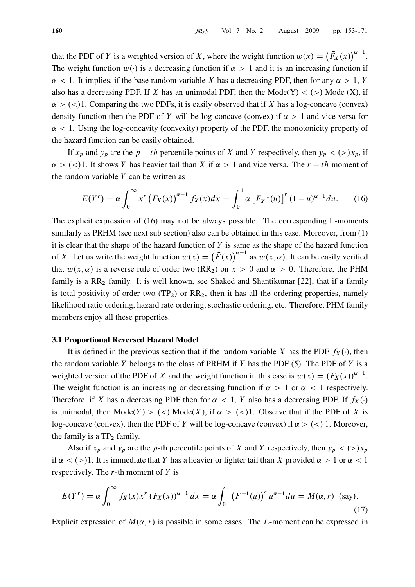that the PDF of Y is a weighted version of X, where the weight function  $w(x) = (F_X(x))^{\alpha-1}$ . The weight function  $w(\cdot)$  is a decreasing function if  $\alpha > 1$  and it is an increasing function if  $\alpha$  < 1. It implies, if the base random variable X has a decreasing PDF, then for any  $\alpha$  > 1, Y also has a decreasing PDF. If X has an unimodal PDF, then the Mode(Y)  $\lt$  (>) Mode (X), if  $\alpha$  > (<)1. Comparing the two PDFs, it is easily observed that if X has a log-concave (convex) density function then the PDF of Y will be log-concave (convex) if  $\alpha > 1$  and vice versa for  $\alpha$  < 1. Using the log-concavity (convexity) property of the PDF, the monotonicity property of the hazard function can be easily obtained.

If  $x_p$  and  $y_p$  are the  $p - th$  percentile points of X and Y respectively, then  $y_p < (>)x_p$ , if  $\alpha$  > (<)1. It shows Y has heavier tail than X if  $\alpha$  > 1 and vice versa. The r - th moment of the random variable  $Y$  can be written as

$$
E(Y') = \alpha \int_0^\infty x^r (\bar{F}_X(x))^{\alpha - 1} f_X(x) dx = \int_0^1 \alpha \left[ F_X^{-1}(u) \right]^r (1 - u)^{\alpha - 1} du. \tag{16}
$$

The explicit expression of (16) may not be always possible. The corresponding L-moments similarly as PRHM (see next sub section) also can be obtained in this case. Moreover, from (1) it is clear that the shape of the hazard function of  $Y$  is same as the shape of the hazard function of X. Let us write the weight function  $w(x) = (F(x))^{a-1}$  as  $w(x, \alpha)$ . It can be easily verified that  $w(x, \alpha)$  is a reverse rule of order two (RR<sub>2</sub>) on  $x > 0$  and  $\alpha > 0$ . Therefore, the PHM family is a  $RR<sub>2</sub>$  family. It is well known, see Shaked and Shantikumar [22], that if a family is total positivity of order two  $(TP_2)$  or  $RR_2$ , then it has all the ordering properties, namely likelihood ratio ordering, hazard rate ordering, stochastic ordering, etc. Therefore, PHM family members enjoy all these properties.

#### 3.1 Proportional Reversed Hazard Model

It is defined in the previous section that if the random variable X has the PDF  $f_X(\cdot)$ , then the random variable Y belongs to the class of PRHM if Y has the PDF (5). The PDF of Y is a weighted version of the PDF of X and the weight function in this case is  $w(x) = (F_X(x))^{a-1}$ . The weight function is an increasing or decreasing function if  $\alpha > 1$  or  $\alpha < 1$  respectively. Therefore, if X has a decreasing PDF then for  $\alpha < 1$ , Y also has a decreasing PDF. If  $f_X(\cdot)$ is unimodal, then  $\text{Mode}(Y) > \langle \langle \rangle \text{Mode}(X)$ , if  $\alpha > \langle \langle \rangle$ 1. Observe that if the PDF of X is log-concave (convex), then the PDF of Y will be log-concave (convex) if  $\alpha > \langle \langle \rangle$  1. Moreover, the family is a  $TP_2$  family.

Also if  $x_p$  and  $y_p$  are the p-th percentile points of X and Y respectively, then  $y_p < (>)x_p$ if  $\alpha$  < (>)1. It is immediate that Y has a heavier or lighter tail than X provided  $\alpha$  > 1 or  $\alpha$  < 1 respectively. The  $r$ -th moment of  $Y$  is

$$
E(Y^{r}) = \alpha \int_0^{\infty} f_X(x) x^{r} (F_X(x))^{\alpha - 1} dx = \alpha \int_0^1 (F^{-1}(u))^{r} u^{\alpha - 1} du = M(\alpha, r)
$$
 (say). (17)

Explicit expression of  $M(\alpha, r)$  is possible in some cases. The L-moment can be expressed in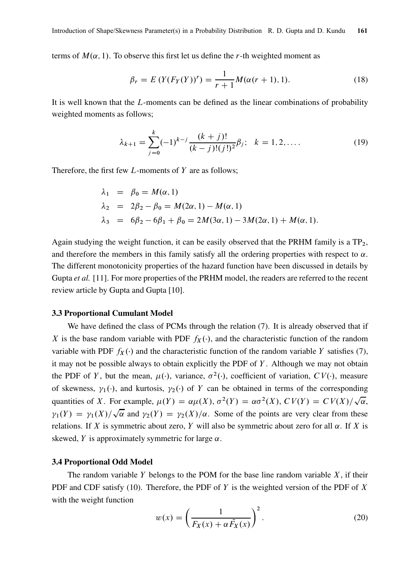terms of  $M(\alpha, 1)$ . To observe this first let us define the r-th weighted moment as

$$
\beta_r = E(Y(F_Y(Y))^r) = \frac{1}{r+1} M(\alpha(r+1), 1).
$$
\n(18)

It is well known that the L-moments can be defined as the linear combinations of probability weighted moments as follows;

$$
\lambda_{k+1} = \sum_{j=0}^{k} (-1)^{k-j} \frac{(k+j)!}{(k-j)!(j!)^2} \beta_j; \quad k = 1, 2, .... \tag{19}
$$

Therefore, the first few  $L$ -moments of  $Y$  are as follows;

$$
\lambda_1 = \beta_0 = M(\alpha, 1)
$$
  
\n
$$
\lambda_2 = 2\beta_2 - \beta_0 = M(2\alpha, 1) - M(\alpha, 1)
$$
  
\n
$$
\lambda_3 = 6\beta_2 - 6\beta_1 + \beta_0 = 2M(3\alpha, 1) - 3M(2\alpha, 1) + M(\alpha, 1).
$$

Again studying the weight function, it can be easily observed that the PRHM family is a  $TP_2$ , and therefore the members in this family satisfy all the ordering properties with respect to  $\alpha$ . The different monotonicity properties of the hazard function have been discussed in details by Gupta et al. [11]. For more properties of the PRHM model, the readers are referred to the recent review article by Gupta and Gupta [10].

#### 3.3 Proportional Cumulant Model

We have defined the class of PCMs through the relation (7). It is already observed that if X is the base random variable with PDF  $f_X(\cdot)$ , and the characteristic function of the random variable with PDF  $f_X(\cdot)$  and the characteristic function of the random variable Y satisfies (7), it may not be possible always to obtain explicitly the PDF of  $Y$ . Although we may not obtain the PDF of Y, but the mean,  $\mu(\cdot)$ , variance,  $\sigma^2(\cdot)$ , coefficient of variation,  $CV(\cdot)$ , measure of skewness,  $\gamma_1(\cdot)$ , and kurtosis,  $\gamma_2(\cdot)$  of Y can be obtained in terms of the corresponding quantities of X. For example,  $\mu(Y) = \alpha \mu(X)$ ,  $\sigma^2(Y) = \alpha \sigma^2(X)$ ,  $CV(Y) = CV(X)/\sqrt{\alpha}$ ,  $\gamma_1(Y) = \gamma_1(X)/\sqrt{\alpha}$  and  $\gamma_2(Y) = \gamma_2(X)/\alpha$ . Some of the points are very clear from these relations. If X is symmetric about zero, Y will also be symmetric about zero for all  $\alpha$ . If X is skewed, Y is approximately symmetric for large  $\alpha$ .

#### 3.4 Proportional Odd Model

The random variable Y belongs to the POM for the base line random variable  $X$ , if their PDF and CDF satisfy (10). Therefore, the PDF of Y is the weighted version of the PDF of X with the weight function

$$
w(x) = \left(\frac{1}{F_X(x) + \alpha \bar{F}_X(x)}\right)^2.
$$
 (20)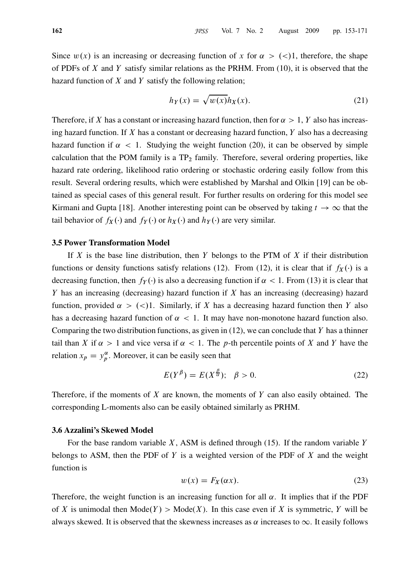Since  $w(x)$  is an increasing or decreasing function of x for  $\alpha > \langle \langle \rangle$ , therefore, the shape of PDFs of X and Y satisfy similar relations as the PRHM. From  $(10)$ , it is observed that the hazard function of  $X$  and  $Y$  satisfy the following relation;

$$
h_Y(x) = \sqrt{w(x)} h_X(x). \tag{21}
$$

Therefore, if X has a constant or increasing hazard function, then for  $\alpha > 1$ , Y also has increasing hazard function. If  $X$  has a constant or decreasing hazard function,  $Y$  also has a decreasing hazard function if  $\alpha < 1$ . Studying the weight function (20), it can be observed by simple calculation that the POM family is a  $TP_2$  family. Therefore, several ordering properties, like hazard rate ordering, likelihood ratio ordering or stochastic ordering easily follow from this result. Several ordering results, which were established by Marshal and Olkin [19] can be obtained as special cases of this general result. For further results on ordering for this model see Kirmani and Gupta [18]. Another interesting point can be observed by taking  $t \to \infty$  that the tail behavior of  $f_X(\cdot)$  and  $f_Y(\cdot)$  or  $h_X(\cdot)$  and  $h_Y(\cdot)$  are very similar.

## 3.5 Power Transformation Model

If  $X$  is the base line distribution, then  $Y$  belongs to the PTM of  $X$  if their distribution functions or density functions satisfy relations (12). From (12), it is clear that if  $f_X(\cdot)$  is a decreasing function, then  $f_Y(\cdot)$  is also a decreasing function if  $\alpha < 1$ . From (13) it is clear that Y has an increasing (decreasing) hazard function if  $X$  has an increasing (decreasing) hazard function, provided  $\alpha > (0.1$ . Similarly, if X has a decreasing hazard function then Y also has a decreasing hazard function of  $\alpha < 1$ . It may have non-monotone hazard function also. Comparing the two distribution functions, as given in  $(12)$ , we can conclude that Y has a thinner tail than X if  $\alpha > 1$  and vice versa if  $\alpha < 1$ . The p-th percentile points of X and Y have the relation  $x_p = y_p^{\alpha}$  $p_{p}^{\alpha}$ . Moreover, it can be easily seen that

$$
E(Y^{\beta}) = E(X^{\frac{\beta}{\alpha}}); \quad \beta > 0.
$$
 (22)

Therefore, if the moments of  $X$  are known, the moments of  $Y$  can also easily obtained. The corresponding L-moments also can be easily obtained similarly as PRHM.

### 3.6 Azzalini's Skewed Model

For the base random variable  $X$ , ASM is defined through (15). If the random variable Y belongs to ASM, then the PDF of Y is a weighted version of the PDF of  $X$  and the weight function is

$$
w(x) = F_X(\alpha x). \tag{23}
$$

Therefore, the weight function is an increasing function for all  $\alpha$ . It implies that if the PDF of X is unimodal then  $Mode(Y) > Mode(X)$ . In this case even if X is symmetric, Y will be always skewed. It is observed that the skewness increases as  $\alpha$  increases to  $\infty$ . It easily follows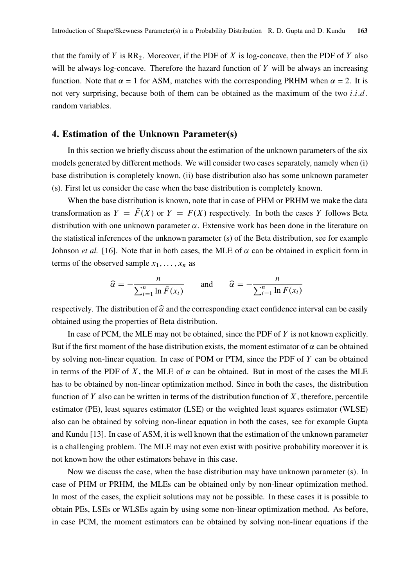that the family of Y is  $RR_2$ . Moreover, if the PDF of X is log-concave, then the PDF of Y also will be always log-concave. Therefore the hazard function of  $Y$  will be always an increasing function. Note that  $\alpha = 1$  for ASM, matches with the corresponding PRHM when  $\alpha = 2$ . It is not very surprising, because both of them can be obtained as the maximum of the two  $i.i.d.$ random variables.

# 4. Estimation of the Unknown Parameter(s)

In this section we briefly discuss about the estimation of the unknown parameters of the six models generated by different methods. We will consider two cases separately, namely when (i) base distribution is completely known, (ii) base distribution also has some unknown parameter (s). First let us consider the case when the base distribution is completely known.

When the base distribution is known, note that in case of PHM or PRHM we make the data transformation as  $Y = \overline{F}(X)$  or  $Y = F(X)$  respectively. In both the cases Y follows Beta distribution with one unknown parameter  $\alpha$ . Extensive work has been done in the literature on the statistical inferences of the unknown parameter (s) of the Beta distribution, see for example Johnson *et al.* [16]. Note that in both cases, the MLE of  $\alpha$  can be obtained in explicit form in terms of the observed sample  $x_1, \ldots, x_n$  as

$$
\widehat{\alpha} = -\frac{n}{\sum_{i=1}^{n} \ln \bar{F}(x_i)} \quad \text{and} \quad \widehat{\alpha} = -\frac{n}{\sum_{i=1}^{n} \ln F(x_i)}
$$

respectively. The distribution of  $\hat{\alpha}$  and the corresponding exact confidence interval can be easily obtained using the properties of Beta distribution.

In case of PCM, the MLE may not be obtained, since the PDF of  $Y$  is not known explicitly. But if the first moment of the base distribution exists, the moment estimator of  $\alpha$  can be obtained by solving non-linear equation. In case of POM or PTM, since the PDF of Y can be obtained in terms of the PDF of X, the MLE of  $\alpha$  can be obtained. But in most of the cases the MLE has to be obtained by non-linear optimization method. Since in both the cases, the distribution function of Y also can be written in terms of the distribution function of X, therefore, percentile estimator (PE), least squares estimator (LSE) or the weighted least squares estimator (WLSE) also can be obtained by solving non-linear equation in both the cases, see for example Gupta and Kundu [13]. In case of ASM, it is well known that the estimation of the unknown parameter is a challenging problem. The MLE may not even exist with positive probability moreover it is not known how the other estimators behave in this case.

Now we discuss the case, when the base distribution may have unknown parameter (s). In case of PHM or PRHM, the MLEs can be obtained only by non-linear optimization method. In most of the cases, the explicit solutions may not be possible. In these cases it is possible to obtain PEs, LSEs or WLSEs again by using some non-linear optimization method. As before, in case PCM, the moment estimators can be obtained by solving non-linear equations if the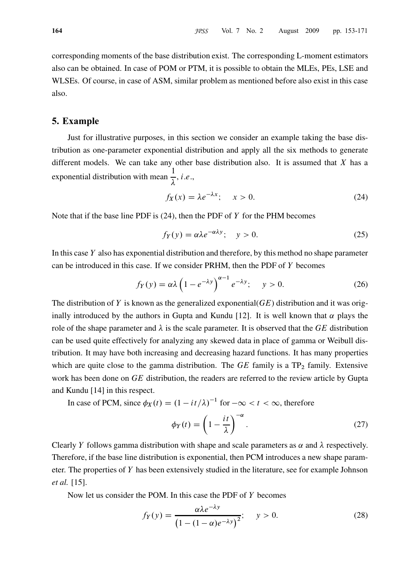corresponding moments of the base distribution exist. The corresponding L-moment estimators also can be obtained. In case of POM or PTM, it is possible to obtain the MLEs, PEs, LSE and WLSEs. Of course, in case of ASM, similar problem as mentioned before also exist in this case also.

# 5. Example

Just for illustrative purposes, in this section we consider an example taking the base distribution as one-parameter exponential distribution and apply all the six methods to generate different models. We can take any other base distribution also. It is assumed that  $X$  has a exponential distribution with mean 1  $\lambda$  $, i.e.,$ 

$$
f_X(x) = \lambda e^{-\lambda x}; \quad x > 0. \tag{24}
$$

Note that if the base line PDF is  $(24)$ , then the PDF of Y for the PHM becomes

$$
f_Y(y) = \alpha \lambda e^{-\alpha \lambda y}; \quad y > 0.
$$
 (25)

In this case Y also has exponential distribution and therefore, by this method no shape parameter can be introduced in this case. If we consider PRHM, then the PDF of Y becomes

$$
f_Y(y) = \alpha \lambda \left( 1 - e^{-\lambda y} \right)^{\alpha - 1} e^{-\lambda y}; \quad y > 0. \tag{26}
$$

The distribution of Y is known as the generalized exponential( $GE$ ) distribution and it was originally introduced by the authors in Gupta and Kundu [12]. It is well known that  $\alpha$  plays the role of the shape parameter and  $\lambda$  is the scale parameter. It is observed that the GE distribution can be used quite effectively for analyzing any skewed data in place of gamma or Weibull distribution. It may have both increasing and decreasing hazard functions. It has many properties which are quite close to the gamma distribution. The  $GE$  family is a  $TP_2$  family. Extensive work has been done on GE distribution, the readers are referred to the review article by Gupta and Kundu [14] in this respect.

In case of PCM, since 
$$
\phi_X(t) = (1 - it/\lambda)^{-1}
$$
 for  $-\infty < t < \infty$ , therefore

$$
\phi_Y(t) = \left(1 - \frac{it}{\lambda}\right)^{-\alpha}.\tag{27}
$$

Clearly Y follows gamma distribution with shape and scale parameters as  $\alpha$  and  $\lambda$  respectively. Therefore, if the base line distribution is exponential, then PCM introduces a new shape parameter. The properties of Y has been extensively studied in the literature, see for example Johnson et al. [15].

Now let us consider the POM. In this case the PDF of  $Y$  becomes

$$
f_Y(y) = \frac{\alpha \lambda e^{-\lambda y}}{\left(1 - (1 - \alpha)e^{-\lambda y}\right)^2}; \quad y > 0.
$$
 (28)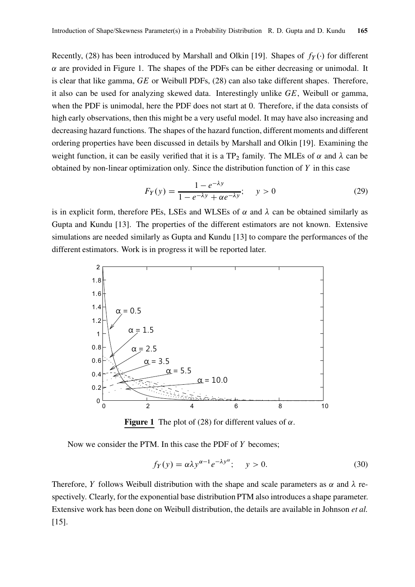Recently, (28) has been introduced by Marshall and Olkin [19]. Shapes of  $f_Y(\cdot)$  for different  $\alpha$  are provided in Figure 1. The shapes of the PDFs can be either decreasing or unimodal. It is clear that like gamma, GE or Weibull PDFs, (28) can also take different shapes. Therefore, it also can be used for analyzing skewed data. Interestingly unlike GE, Weibull or gamma, when the PDF is unimodal, here the PDF does not start at 0. Therefore, if the data consists of high early observations, then this might be a very useful model. It may have also increasing and decreasing hazard functions. The shapes of the hazard function, different moments and different ordering properties have been discussed in details by Marshall and Olkin [19]. Examining the weight function, it can be easily verified that it is a TP<sub>2</sub> family. The MLEs of  $\alpha$  and  $\lambda$  can be obtained by non-linear optimization only. Since the distribution function of  $Y$  in this case

$$
F_Y(y) = \frac{1 - e^{-\lambda y}}{1 - e^{-\lambda y} + \alpha e^{-\lambda y}}; \quad y > 0
$$
 (29)

is in explicit form, therefore PEs, LSEs and WLSEs of  $\alpha$  and  $\lambda$  can be obtained similarly as Gupta and Kundu [13]. The properties of the different estimators are not known. Extensive simulations are needed similarly as Gupta and Kundu [13] to compare the performances of the different estimators. Work is in progress it will be reported later.



**Figure 1** The plot of (28) for different values of  $\alpha$ .

Now we consider the PTM. In this case the PDF of Y becomes;

$$
f_Y(y) = \alpha \lambda y^{\alpha - 1} e^{-\lambda y^{\alpha}}; \quad y > 0.
$$
 (30)

Therefore, Y follows Weibull distribution with the shape and scale parameters as  $\alpha$  and  $\lambda$  respectively. Clearly, for the exponential base distribution PTM also introduces a shape parameter. Extensive work has been done on Weibull distribution, the details are available in Johnson et al. [15].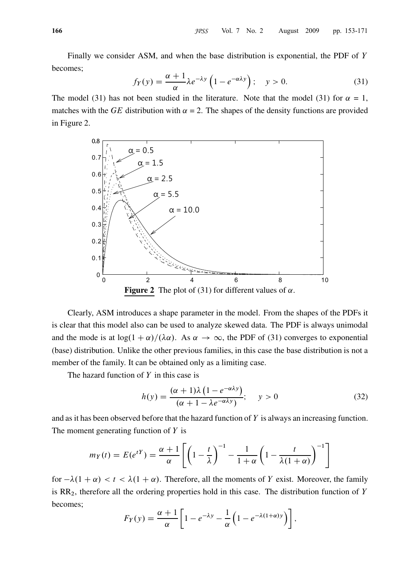Finally we consider ASM, and when the base distribution is exponential, the PDF of Y becomes;

$$
f_Y(y) = \frac{\alpha + 1}{\alpha} \lambda e^{-\lambda y} \left( 1 - e^{-\alpha \lambda y} \right); \quad y > 0.
$$
 (31)

The model (31) has not been studied in the literature. Note that the model (31) for  $\alpha = 1$ , matches with the GE distribution with  $\alpha = 2$ . The shapes of the density functions are provided in Figure 2.



Clearly, ASM introduces a shape parameter in the model. From the shapes of the PDFs it is clear that this model also can be used to analyze skewed data. The PDF is always unimodal and the mode is at  $\log(1 + \alpha)/(\lambda \alpha)$ . As  $\alpha \to \infty$ , the PDF of (31) converges to exponential (base) distribution. Unlike the other previous families, in this case the base distribution is not a member of the family. It can be obtained only as a limiting case.

The hazard function of  $Y$  in this case is

$$
h(y) = \frac{(\alpha + 1)\lambda (1 - e^{-\alpha\lambda y})}{(\alpha + 1 - \lambda e^{-\alpha\lambda y})}; \quad y > 0
$$
\n(32)

and as it has been observed before that the hazard function of  $Y$  is always an increasing function. The moment generating function of  $Y$  is

$$
m_Y(t) = E(e^{tY}) = \frac{\alpha + 1}{\alpha} \left[ \left( 1 - \frac{t}{\lambda} \right)^{-1} - \frac{1}{1 + \alpha} \left( 1 - \frac{t}{\lambda(1 + \alpha)} \right)^{-1} \right]
$$

for  $-\lambda(1 + \alpha) < t < \lambda(1 + \alpha)$ . Therefore, all the moments of Y exist. Moreover, the family is  $RR<sub>2</sub>$ , therefore all the ordering properties hold in this case. The distribution function of Y becomes;

$$
F_Y(y) = \frac{\alpha + 1}{\alpha} \left[ 1 - e^{-\lambda y} - \frac{1}{\alpha} \left( 1 - e^{-\lambda (1 + \alpha) y} \right) \right],
$$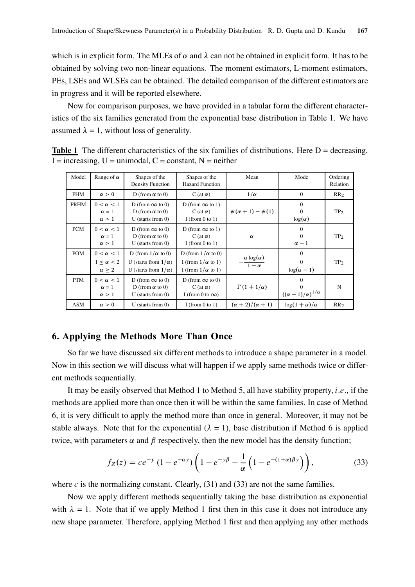which is in explicit form. The MLEs of  $\alpha$  and  $\lambda$  can not be obtained in explicit form. It has to be obtained by solving two non-linear equations. The moment estimators, L-moment estimators, PEs, LSEs and WLSEs can be obtained. The detailed comparison of the different estimators are in progress and it will be reported elsewhere.

Now for comparison purposes, we have provided in a tabular form the different characteristics of the six families generated from the exponential base distribution in Table 1. We have assumed  $\lambda = 1$ , without loss of generality.

| Model      | Range of $\alpha$                                       | Shapes of the<br><b>Density Function</b>                                               | Shapes of the<br><b>Hazard Function</b>                                          | Mean                                   | Mode                                                | Ordering<br>Relation |
|------------|---------------------------------------------------------|----------------------------------------------------------------------------------------|----------------------------------------------------------------------------------|----------------------------------------|-----------------------------------------------------|----------------------|
| PHM        | $\alpha > 0$                                            | D (from $\alpha$ to 0)                                                                 | C (at $\alpha$ )                                                                 | $1/\alpha$                             | $\mathbf{0}$                                        | RR <sub>2</sub>      |
| PRHM       | $0 < \alpha < 1$<br>$\alpha = 1$<br>$\alpha > 1$        | D (from $\infty$ to 0)<br>D (from $\alpha$ to 0)<br>$U$ (starts from 0)                | D (from $\infty$ to 1)<br>C (at $\alpha$ )<br>I (from 0 to 1)                    | $\psi(\alpha + 1) - \psi(1)$           | $\Omega$<br>$\Omega$<br>$\log(\alpha)$              | TP <sub>2</sub>      |
| <b>PCM</b> | $0 < \alpha < 1$<br>$\alpha = 1$<br>$\alpha > 1$        | D (from $\infty$ to 0)<br>D (from $\alpha$ to 0)<br>$U$ (starts from 0)                | D (from $\infty$ to 1)<br>C (at $\alpha$ )<br>I (from 0 to 1)                    | $\alpha$                               | $\Omega$<br>$\Omega$<br>$\alpha - 1$                | TP <sub>2</sub>      |
| <b>POM</b> | $0 < \alpha < 1$<br>$1 < \alpha < 2$<br>$\alpha \geq 2$ | D (from $1/\alpha$ to 0)<br>U (starts from $1/\alpha$ )<br>U (starts from $1/\alpha$ ) | D (from $1/\alpha$ to 0)<br>I (from $1/\alpha$ to 1)<br>I (from $1/\alpha$ to 1) | $\frac{\alpha \log(\alpha)}{1-\alpha}$ | $\Omega$<br>$\Omega$<br>$\log(\alpha - 1)$          | TP <sub>2</sub>      |
| <b>PTM</b> | $0 < \alpha < 1$<br>$\alpha = 1$<br>$\alpha > 1$        | D (from $\infty$ to 0)<br>D (from $\alpha$ to 0)<br>$U$ (starts from 0)                | D (from $\infty$ to 0)<br>C (at $\alpha$ )<br>I (from 0 to $\infty$ )            | $\Gamma(1+1/\alpha)$                   | $\Omega$<br>0<br>$((\alpha - 1)/\alpha)^{1/\alpha}$ | N                    |
| ASM        | $\alpha > 0$                                            | $U$ (starts from 0)                                                                    | I (from 0 to 1)                                                                  | $(\alpha + 2)/(\alpha + 1)$            | $\log(1+\alpha)/\alpha$                             | RR <sub>2</sub>      |

**Table 1** The different characteristics of the six families of distributions. Here  $D =$  decreasing,  $I = increasing, U = unimodal, C = constant, N = neither$ 

# 6. Applying the Methods More Than Once

So far we have discussed six different methods to introduce a shape parameter in a model. Now in this section we will discuss what will happen if we apply same methods twice or different methods sequentially.

It may be easily observed that Method 1 to Method 5, all have stability property, *i.e.*, if the methods are applied more than once then it will be within the same families. In case of Method 6, it is very difficult to apply the method more than once in general. Moreover, it may not be stable always. Note that for the exponential ( $\lambda = 1$ ), base distribution if Method 6 is applied twice, with parameters  $\alpha$  and  $\beta$  respectively, then the new model has the density function;

$$
f_Z(z) = c e^{-y} (1 - e^{-\alpha y}) \left( 1 - e^{-y\beta} - \frac{1}{\alpha} \left( 1 - e^{-(1+\alpha)\beta y} \right) \right),
$$
 (33)

where c is the normalizing constant. Clearly,  $(31)$  and  $(33)$  are not the same families.

Now we apply different methods sequentially taking the base distribution as exponential with  $\lambda = 1$ . Note that if we apply Method 1 first then in this case it does not introduce any new shape parameter. Therefore, applying Method 1 first and then applying any other methods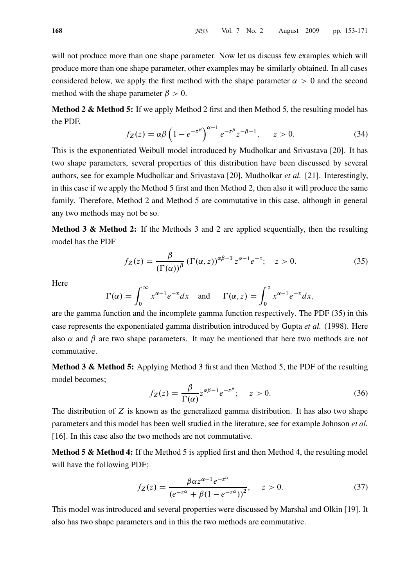will not produce more than one shape parameter. Now let us discuss few examples which will produce more than one shape parameter, other examples may be similarly obtained. In all cases considered below, we apply the first method with the shape parameter  $\alpha > 0$  and the second method with the shape parameter  $\beta > 0$ .

**Method 2 & Method 5:** If we apply Method 2 first and then Method 5, the resulting model has the PDF,

$$
f_Z(z) = \alpha \beta \left( 1 - e^{-z^{\beta}} \right)^{\alpha - 1} e^{-z^{\beta}} z^{-\beta - 1}, \qquad z > 0.
$$
 (34)

This is the exponentiated Weibull model introduced by Mudholkar and Srivastava [20]. It has two shape parameters, several properties of this distribution have been discussed by several authors, see for example Mudholkar and Srivastava [20], Mudholkar et al. [21]. Interestingly, in this case if we apply the Method 5 first and then Method 2, then also it will produce the same family. Therefore, Method 2 and Method 5 are commutative in this case, although in general any two methods may not be so.

**Method 3 & Method 2:** If the Methods 3 and 2 are applied sequentially, then the resulting model has the PDF

$$
f_Z(z) = \frac{\beta}{(\Gamma(\alpha))^{\beta}} \left(\Gamma(\alpha, z)\right)^{\alpha \beta - 1} z^{\alpha - 1} e^{-z}; \quad z > 0. \tag{35}
$$

**Here** 

$$
\Gamma(\alpha) = \int_0^\infty x^{\alpha-1} e^{-x} dx \quad \text{and} \quad \Gamma(\alpha, z) = \int_0^z x^{\alpha-1} e^{-x} dx,
$$

are the gamma function and the incomplete gamma function respectively. The PDF (35) in this case represents the exponentiated gamma distribution introduced by Gupta et al. (1998). Here also  $\alpha$  and  $\beta$  are two shape parameters. It may be mentioned that here two methods are not commutative.

Method 3 & Method 5: Applying Method 3 first and then Method 5, the PDF of the resulting model becomes;

$$
f_Z(z) = \frac{\beta}{\Gamma(\alpha)} z^{\alpha \beta - 1} e^{-z^{\beta}}; \quad z > 0.
$$
 (36)

The distribution of  $Z$  is known as the generalized gamma distribution. It has also two shape parameters and this model has been well studied in the literature, see for example Johnson *et al.* [16]. In this case also the two methods are not commutative.

**Method 5 & Method 4:** If the Method 5 is applied first and then Method 4, the resulting model will have the following PDF;

$$
f_Z(z) = \frac{\beta \alpha z^{\alpha - 1} e^{-z^{\alpha}}}{\left(e^{-z^{\alpha}} + \beta (1 - e^{-z^{\alpha}})\right)^2}, \quad z > 0.
$$
 (37)

This model was introduced and several properties were discussed by Marshal and Olkin [19]. It also has two shape parameters and in this the two methods are commutative.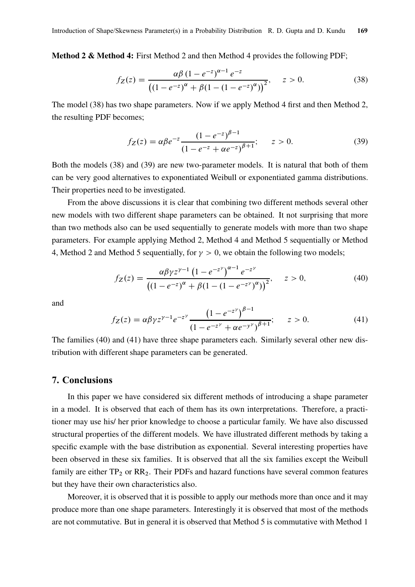Method 2 & Method 4: First Method 2 and then Method 4 provides the following PDF;

$$
f_Z(z) = \frac{\alpha \beta (1 - e^{-z})^{\alpha - 1} e^{-z}}{\left( (1 - e^{-z})^{\alpha} + \beta (1 - (1 - e^{-z})^{\alpha}) \right)^2}, \quad z > 0.
$$
 (38)

The model (38) has two shape parameters. Now if we apply Method 4 first and then Method 2, the resulting PDF becomes;

$$
f_Z(z) = \alpha \beta e^{-z} \frac{(1 - e^{-z})^{\beta - 1}}{(1 - e^{-z} + \alpha e^{-z})^{\beta + 1}}; \qquad z > 0.
$$
 (39)

Both the models (38) and (39) are new two-parameter models. It is natural that both of them can be very good alternatives to exponentiated Weibull or exponentiated gamma distributions. Their properties need to be investigated.

From the above discussions it is clear that combining two different methods several other new models with two different shape parameters can be obtained. It not surprising that more than two methods also can be used sequentially to generate models with more than two shape parameters. For example applying Method 2, Method 4 and Method 5 sequentially or Method 4, Method 2 and Method 5 sequentially, for  $\gamma > 0$ , we obtain the following two models;

$$
f_Z(z) = \frac{\alpha \beta \gamma z^{\gamma - 1} (1 - e^{-z^{\gamma}})^{\alpha - 1} e^{-z^{\gamma}}}{\left( (1 - e^{-z})^{\alpha} + \beta (1 - (1 - e^{-z^{\gamma}})^{\alpha}) \right)^2}, \quad z > 0,
$$
\n(40)

and

$$
f_Z(z) = \alpha \beta \gamma z^{\gamma - 1} e^{-z^{\gamma}} \frac{\left(1 - e^{-z^{\gamma}}\right)^{\beta - 1}}{\left(1 - e^{-z^{\gamma}} + \alpha e^{-y^{\gamma}}\right)^{\beta + 1}}; \quad z > 0.
$$
 (41)

The families (40) and (41) have three shape parameters each. Similarly several other new distribution with different shape parameters can be generated.

# 7. Conclusions

In this paper we have considered six different methods of introducing a shape parameter in a model. It is observed that each of them has its own interpretations. Therefore, a practitioner may use his/ her prior knowledge to choose a particular family. We have also discussed structural properties of the different models. We have illustrated different methods by taking a specific example with the base distribution as exponential. Several interesting properties have been observed in these six families. It is observed that all the six families except the Weibull family are either  $TP_2$  or  $RR_2$ . Their PDFs and hazard functions have several common features but they have their own characteristics also.

Moreover, it is observed that it is possible to apply our methods more than once and it may produce more than one shape parameters. Interestingly it is observed that most of the methods are not commutative. But in general it is observed that Method 5 is commutative with Method 1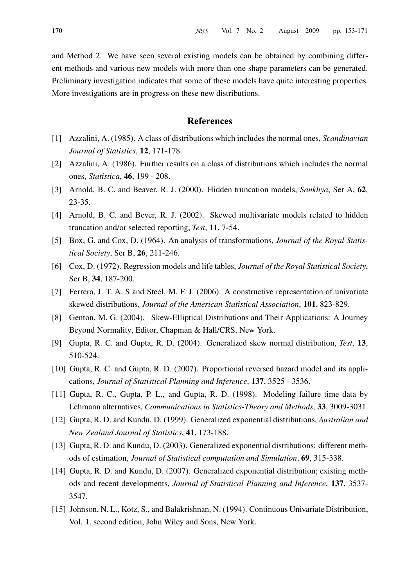and Method 2. We have seen several existing models can be obtained by combining different methods and various new models with more than one shape parameters can be generated. Preliminary investigation indicates that some of these models have quite interesting properties. More investigations are in progress on these new distributions.

# References

- [1] Azzalini, A. (1985). A class of distributions which includes the normal ones, Scandinavian Journal of Statistics, 12, 171-178.
- [2] Azzalini, A. (1986). Further results on a class of distributions which includes the normal ones, Statistica, 46, 199 - 208.
- [3] Arnold, B. C. and Beaver, R. J. (2000). Hidden truncation models, Sankhya, Ser A, 62, 23-35.
- [4] Arnold, B. C. and Bever, R. J. (2002). Skewed multivariate models related to hidden truncation and/or selected reporting, Test, 11, 7-54.
- [5] Box, G. and Cox, D. (1964). An analysis of transformations, *Journal of the Royal Statis*tical Society, Ser B, 26, 211-246.
- [6] Cox, D. (1972). Regression models and life tables, *Journal of the Royal Statistical Society*, Ser B, 34, 187-200.
- [7] Ferrera, J. T. A. S and Steel, M. F. J. (2006). A constructive representation of univariate skewed distributions, Journal of the American Statistical Association, 101, 823-829.
- [8] Genton, M. G. (2004). Skew-Elliptical Distributions and Their Applications: A Journey Beyond Normality, Editor, Chapman & Hall/CRS, New York.
- [9] Gupta, R. C. and Gupta, R. D. (2004). Generalized skew normal distribution, Test, 13, 510-524.
- [10] Gupta, R. C. and Gupta, R. D. (2007). Proportional reversed hazard model and its applications, Journal of Statistical Planning and Inference, 137, 3525 - 3536.
- [11] Gupta, R. C., Gupta, P. L., and Gupta, R. D. (1998). Modeling failure time data by Lehmann alternatives, Communications in Statistics-Theory and Methods, 33, 3009-3031.
- [12] Gupta, R. D. and Kundu, D. (1999). Generalized exponential distributions, Australian and New Zealand Journal of Statistics, 41, 173-188.
- [13] Gupta, R. D. and Kundu, D. (2003). Generalized exponential distributions: different methods of estimation, Journal of Statistical computation and Simulation, 69, 315-338.
- [14] Gupta, R. D. and Kundu, D. (2007). Generalized exponential distribution; existing methods and recent developments, Journal of Statistical Planning and Inference, 137, 3537- 3547.
- [15] Johnson, N. L., Kotz, S., and Balakrishnan, N. (1994). Continuous Univariate Distribution, Vol. 1, second edition, John Wiley and Sons, New York.